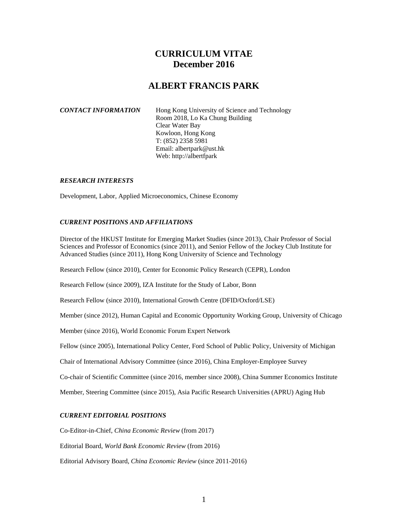# **CURRICULUM VITAE December 2016**

# **ALBERT FRANCIS PARK**

Hong Kong University of Science and Technology Room 2018, Lo Ka Chung Building Clear Water Bay Kowloon, Hong Kong T: (852) 2358 5981 Email: albertpark@ust.hk Web: http://albertfpark

# *RESEARCH INTERESTS*

Development, Labor, Applied Microeconomics, Chinese Economy

# *CURRENT POSITIONS AND AFFILIATIONS*

Director of the HKUST Institute for Emerging Market Studies (since 2013), Chair Professor of Social Sciences and Professor of Economics (since 2011), and Senior Fellow of the Jockey Club Institute for Advanced Studies (since 2011), Hong Kong University of Science and Technology

Research Fellow (since 2010), Center for Economic Policy Research (CEPR), London

Research Fellow (since 2009), IZA Institute for the Study of Labor, Bonn

Research Fellow (since 2010), International Growth Centre (DFID/Oxford/LSE)

Member (since 2012), Human Capital and Economic Opportunity Working Group, University of Chicago

Member (since 2016), World Economic Forum Expert Network

Fellow (since 2005), International Policy Center, Ford School of Public Policy, University of Michigan

Chair of International Advisory Committee (since 2016), China Employer-Employee Survey

Co-chair of Scientific Committee (since 2016, member since 2008), China Summer Economics Institute

Member, Steering Committee (since 2015), Asia Pacific Research Universities (APRU) Aging Hub

# *CURRENT EDITORIAL POSITIONS*

Co-Editor-in-Chief, *China Economic Review* (from 2017)

Editorial Board, *World Bank Economic Review* (from 2016)

Editorial Advisory Board, *China Economic Review* (since 2011-2016)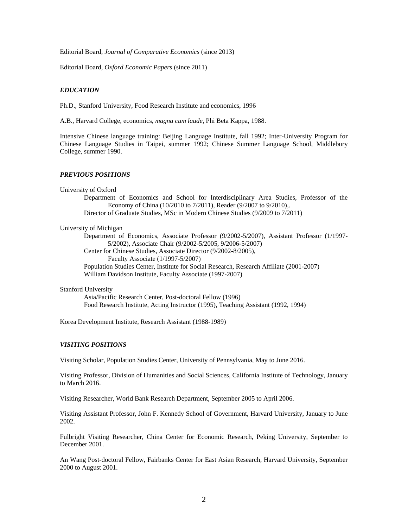Editorial Board, *Journal of Comparative Economics* (since 2013)

Editorial Board, *Oxford Economic Papers* (since 2011)

## *EDUCATION*

Ph.D., Stanford University, Food Research Institute and economics, 1996

A.B., Harvard College, economics, *magna cum laude*, Phi Beta Kappa, 1988.

Intensive Chinese language training: Beijing Language Institute, fall 1992; Inter-University Program for Chinese Language Studies in Taipei, summer 1992; Chinese Summer Language School, Middlebury College, summer 1990.

#### *PREVIOUS POSITIONS*

#### University of Oxford

Department of Economics and School for Interdisciplinary Area Studies, Professor of the Economy of China (10/2010 to 7/2011), Reader (9/2007 to 9/2010),. Director of Graduate Studies, MSc in Modern Chinese Studies (9/2009 to 7/2011)

#### University of Michigan

Department of Economics, Associate Professor (9/2002-5/2007), Assistant Professor (1/1997- 5/2002), Associate Chair (9/2002-5/2005, 9/2006-5/2007) Center for Chinese Studies, Associate Director (9/2002-8/2005), Faculty Associate (1/1997-5/2007) Population Studies Center, Institute for Social Research, Research Affiliate (2001-2007) William Davidson Institute, Faculty Associate (1997-2007)

#### Stanford University

Asia/Pacific Research Center, Post-doctoral Fellow (1996) Food Research Institute, Acting Instructor (1995), Teaching Assistant (1992, 1994)

Korea Development Institute, Research Assistant (1988-1989)

## *VISITING POSITIONS*

Visiting Scholar, Population Studies Center, University of Pennsylvania, May to June 2016.

Visiting Professor, Division of Humanities and Social Sciences, California Institute of Technology, January to March 2016.

Visiting Researcher, World Bank Research Department, September 2005 to April 2006.

Visiting Assistant Professor, John F. Kennedy School of Government, Harvard University, January to June 2002.

Fulbright Visiting Researcher, China Center for Economic Research, Peking University, September to December 2001.

An Wang Post-doctoral Fellow, Fairbanks Center for East Asian Research, Harvard University, September 2000 to August 2001.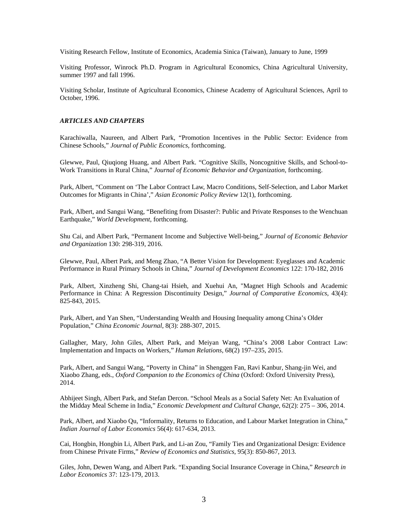Visiting Research Fellow, Institute of Economics, Academia Sinica (Taiwan), January to June, 1999

Visiting Professor, Winrock Ph.D. Program in Agricultural Economics, China Agricultural University, summer 1997 and fall 1996.

Visiting Scholar, Institute of Agricultural Economics, Chinese Academy of Agricultural Sciences, April to October, 1996.

## *ARTICLES AND CHAPTERS*

Karachiwalla, Naureen, and Albert Park, "Promotion Incentives in the Public Sector: Evidence from Chinese Schools," *Journal of Public Economics*, forthcoming.

Glewwe, Paul, Qiuqiong Huang, and Albert Park. "Cognitive Skills, Noncognitive Skills, and School-to-Work Transitions in Rural China," *Journal of Economic Behavior and Organization*, forthcoming.

Park, Albert, "Comment on 'The Labor Contract Law, Macro Conditions, Self-Selection, and Labor Market Outcomes for Migrants in China'," *Asian Economic Policy Review* 12(1), forthcoming.

Park, Albert, and Sangui Wang, "Benefiting from Disaster?: Public and Private Responses to the Wenchuan Earthquake," *World Development*, forthcoming.

Shu Cai, and Albert Park, "Permanent Income and Subjective Well-being," *Journal of Economic Behavior and Organization* 130: 298-319, 2016.

Glewwe, Paul, Albert Park, and Meng Zhao, "A Better Vision for Development: Eyeglasses and Academic Performance in Rural Primary Schools in China," *Journal of Development Economics* 122: 170-182, 2016

Park, Albert, Xinzheng Shi, Chang-tai Hsieh, and Xuehui An, "Magnet High Schools and Academic Performance in China: A Regression Discontinuity Design," *Journal of Comparative Economics*, 43(4): 825-843, 2015.

Park, Albert, and Yan Shen, "Understanding Wealth and Housing Inequality among China's Older Population," *China Economic Journal*, 8(3): 288-307, 2015.

Gallagher, Mary, John Giles, Albert Park, and Meiyan Wang, "China's 2008 Labor Contract Law: Implementation and Impacts on Workers," *Human Relations*, 68(2) 197–235, 2015.

Park, Albert, and Sangui Wang, "Poverty in China" in Shenggen Fan, Ravi Kanbur, Shang-jin Wei, and Xiaobo Zhang, eds., *Oxford Companion to the Economics of China* (Oxford: Oxford University Press), 2014.

Abhijeet Singh, Albert Park, and Stefan Dercon. "School Meals as a Social Safety Net: An Evaluation of the Midday Meal Scheme in India," *Economic Development and Cultural Change*, 62(2): 275 – 306, 2014.

Park, Albert, and Xiaobo Qu, "Informality, Returns to Education, and Labour Market Integration in China," *Indian Journal of Labor Economics* 56(4): 617-634, 2013.

Cai, Hongbin, Hongbin Li, Albert Park, and Li-an Zou, "Family Ties and Organizational Design: Evidence from Chinese Private Firms," *Review of Economics and Statistics*, 95(3): 850-867, 2013.

Giles, John, Dewen Wang, and Albert Park. "Expanding Social Insurance Coverage in China," *Research in Labor Economics* 37: 123-179, 2013.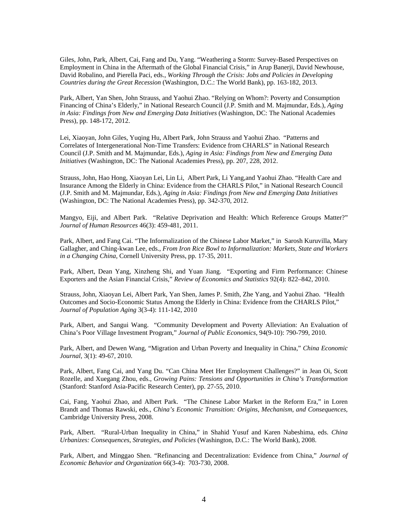Giles, John, Park, Albert, Cai, Fang and Du, Yang. "Weathering a Storm: Survey-Based Perspectives on Employment in China in the Aftermath of the Global Financial Crisis," in Arup Banerji, David Newhouse, David Robalino, and Pierella Paci, eds., *Working Through the Crisis: Jobs and Policies in Developing Countries during the Great Recession* (Washington, D.C.: The World Bank), pp. 163-182, 2013.

Park, Albert, Yan Shen, John Strauss, and Yaohui Zhao. "Relying on Whom?: Poverty and Consumption Financing of China's Elderly," in National Research Council (J.P. Smith and M. Majmundar, Eds.), *Aging in Asia: Findings from New and Emerging Data Initiatives* (Washington, DC: The National Academies Press), pp. 148-172, 2012.

Lei, Xiaoyan, John Giles, Yuqing Hu, Albert Park, John Strauss and Yaohui Zhao. "Patterns and Correlates of Intergenerational Non-Time Transfers: Evidence from CHARLS" in National Research Council (J.P. Smith and M. Majmundar, Eds.), *Aging in Asia: Findings from New and Emerging Data Initiatives* (Washington, DC: The National Academies Press), pp. 207, 228, 2012.

Strauss, John, Hao Hong, Xiaoyan Lei, Lin Li, Albert Park, Li Yang,and Yaohui Zhao. "Health Care and Insurance Among the Elderly in China: Evidence from the CHARLS Pilot," in National Research Council (J.P. Smith and M. Majmundar, Eds.), *Aging in Asia: Findings from New and Emerging Data Initiatives*  (Washington, DC: The National Academies Press), pp. 342-370, 2012.

Mangyo, Eiji, and Albert Park. "Relative Deprivation and Health: Which Reference Groups Matter?" *Journal of Human Resources* 46(3): 459-481, 2011.

Park, Albert, and Fang Cai. "The Informalization of the Chinese Labor Market," in Sarosh Kuruvilla, Mary Gallagher, and Ching-kwan Lee, eds., *From Iron Rice Bowl to Informalization: Markets, State and Workers in a Changing China*, Cornell University Press, pp. 17-35, 2011.

Park, Albert, Dean Yang, Xinzheng Shi, and Yuan Jiang. "Exporting and Firm Performance: Chinese Exporters and the Asian Financial Crisis," *Review of Economics and Statistics* 92(4): 822–842, 2010.

Strauss, John, Xiaoyan Lei, Albert Park, Yan Shen, James P. Smith, Zhe Yang, and Yaohui Zhao. "Health Outcomes and Socio-Economic Status Among the Elderly in China: Evidence from the CHARLS Pilot," *Journal of Population Aging* 3(3-4): 111-142, 2010

Park, Albert, and Sangui Wang. "Community Development and Poverty Alleviation: An Evaluation of China's Poor Village Investment Program," *Journal of Public Economics*, 94(9-10): 790-799, 2010.

Park, Albert, and Dewen Wang, "Migration and Urban Poverty and Inequality in China," *China Economic Journal*, 3(1): 49-67, 2010.

Park, Albert, Fang Cai, and Yang Du. "Can China Meet Her Employment Challenges?" in Jean Oi, Scott Rozelle, and Xuegang Zhou, eds., *Growing Pains: Tensions and Opportunities in China's Transformation* (Stanford: Stanford Asia-Pacific Research Center), pp. 27-55, 2010.

Cai, Fang, Yaohui Zhao, and Albert Park. "The Chinese Labor Market in the Reform Era," in Loren Brandt and Thomas Rawski, eds., *China's Economic Transition: Origins, Mechanism, and Consequences*, Cambridge University Press, 2008.

Park, Albert. "Rural-Urban Inequality in China," in Shahid Yusuf and Karen Nabeshima, eds. *China Urbanizes: Consequences, Strategies, and Policies* (Washington, D.C.: The World Bank), 2008.

Park, Albert, and Minggao Shen. "Refinancing and Decentralization: Evidence from China," *Journal of Economic Behavior and Organization* 66(3-4): 703-730, 2008.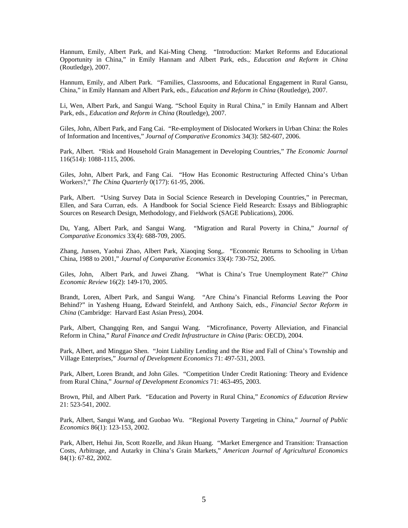Hannum, Emily, Albert Park, and Kai-Ming Cheng. "Introduction: Market Reforms and Educational Opportunity in China," in Emily Hannam and Albert Park, eds., *Education and Reform in China* (Routledge), 2007.

Hannum, Emily, and Albert Park. "Families, Classrooms, and Educational Engagement in Rural Gansu, China," in Emily Hannam and Albert Park, eds., *Education and Reform in China* (Routledge), 2007.

Li, Wen, Albert Park, and Sangui Wang. "School Equity in Rural China," in Emily Hannam and Albert Park, eds., *Education and Reform in China* (Routledge), 2007.

Giles, John, Albert Park, and Fang Cai. "Re-employment of Dislocated Workers in Urban China: the Roles of Information and Incentives," *Journal of Comparative Economics* 34(3): 582-607, 2006.

Park, Albert. "Risk and Household Grain Management in Developing Countries," *The Economic Journal* 116(514): 1088-1115, 2006.

Giles, John, Albert Park, and Fang Cai. "How Has Economic Restructuring Affected China's Urban Workers?," *The China Quarterly* 0(177): 61-95, 2006.

Park, Albert. "Using Survey Data in Social Science Research in Developing Countries," in Perecman, Ellen, and Sara Curran, eds. A Handbook for Social Science Field Research: Essays and Bibliographic Sources on Research Design, Methodology, and Fieldwork (SAGE Publications), 2006.

Du, Yang, Albert Park, and Sangui Wang. "Migration and Rural Poverty in China," *Journal of Comparative Economics* 33(4): 688-709, 2005.

Zhang, Junsen, Yaohui Zhao, Albert Park, Xiaoqing Song,. "Economic Returns to Schooling in Urban China, 1988 to 2001," *Journal of Comparative Economics* 33(4): 730-752, 2005.

Giles, John, Albert Park, and Juwei Zhang. "What is China's True Unemployment Rate?" *China Economic Review* 16(2): 149-170, 2005.

Brandt, Loren, Albert Park, and Sangui Wang. "Are China's Financial Reforms Leaving the Poor Behind?" in Yasheng Huang, Edward Steinfeld, and Anthony Saich, eds., *Financial Sector Reform in China* (Cambridge: Harvard East Asian Press), 2004.

Park, Albert, Changqing Ren, and Sangui Wang. "Microfinance, Poverty Alleviation, and Financial Reform in China," *Rural Finance and Credit Infrastructure in China* (Paris: OECD), 2004.

Park, Albert, and Minggao Shen. "Joint Liability Lending and the Rise and Fall of China's Township and Village Enterprises," *Journal of Development Economics* 71: 497-531, 2003.

Park, Albert, Loren Brandt, and John Giles. "Competition Under Credit Rationing: Theory and Evidence from Rural China," *Journal of Development Economics* 71: 463-495, 2003.

Brown, Phil, and Albert Park. "Education and Poverty in Rural China," *Economics of Education Review* 21: 523-541, 2002.

Park, Albert, Sangui Wang, and Guobao Wu. *"*Regional Poverty Targeting in China," *Journal of Public Economics* 86(1): 123-153, 2002.

Park, Albert, Hehui Jin, Scott Rozelle, and Jikun Huang. "Market Emergence and Transition: Transaction Costs, Arbitrage, and Autarky in China's Grain Markets," *American Journal of Agricultural Economics* 84(1): 67-82, 2002.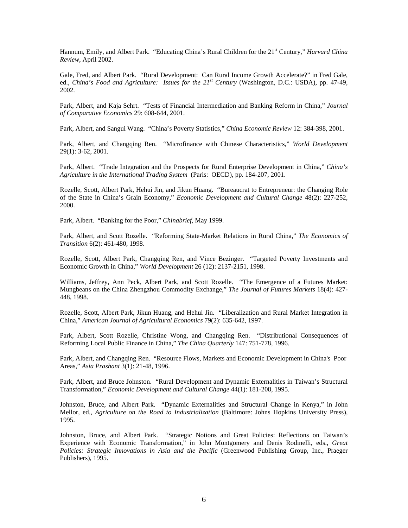Hannum, Emily, and Albert Park. "Educating China's Rural Children for the 21<sup>st</sup> Century," *Harvard China Review*, April 2002.

Gale, Fred, and Albert Park. "Rural Development: Can Rural Income Growth Accelerate?" in Fred Gale, ed., *China's Food and Agriculture: Issues for the 21st Century* (Washington, D.C.: USDA), pp. 47-49, 2002.

Park, Albert, and Kaja Sehrt. "Tests of Financial Intermediation and Banking Reform in China," *Journal of Comparative Economics* 29: 608-644, 2001.

Park, Albert, and Sangui Wang. "China's Poverty Statistics," *China Economic Review* 12: 384-398, 2001.

Park, Albert, and Changqing Ren. "Microfinance with Chinese Characteristics," *World Development* 29(1): 3-62, 2001.

Park, Albert. "Trade Integration and the Prospects for Rural Enterprise Development in China," *China's Agriculture in the International Trading System* (Paris: OECD), pp. 184-207, 2001.

Rozelle, Scott, Albert Park, Hehui Jin, and Jikun Huang. "Bureaucrat to Entrepreneur: the Changing Role of the State in China's Grain Economy," *Economic Development and Cultural Change* 48(2): 227-252, 2000.

Park, Albert. "Banking for the Poor," *Chinabrief*, May 1999.

Park, Albert, and Scott Rozelle. "Reforming State-Market Relations in Rural China," *The Economics of Transition* 6(2): 461-480, 1998.

Rozelle, Scott, Albert Park, Changqing Ren, and Vince Bezinger. "Targeted Poverty Investments and Economic Growth in China," *World Development* 26 (12): 2137-2151, 1998.

Williams, Jeffrey, Ann Peck, Albert Park, and Scott Rozelle. "The Emergence of a Futures Market: Mungbeans on the China Zhengzhou Commodity Exchange," *The Journal of Futures Markets* 18(4): 427- 448, 1998.

Rozelle, Scott, Albert Park, Jikun Huang, and Hehui Jin. "Liberalization and Rural Market Integration in China," *American Journal of Agricultural Economics* 79(2): 635-642, 1997.

Park, Albert, Scott Rozelle, Christine Wong, and Changqing Ren. "Distributional Consequences of Reforming Local Public Finance in China," *The China Quarterly* 147: 751-778, 1996.

Park, Albert, and Changqing Ren. "Resource Flows, Markets and Economic Development in China's Poor Areas," *Asia Prashant* 3(1): 21-48, 1996.

Park, Albert, and Bruce Johnston. "Rural Development and Dynamic Externalities in Taiwan's Structural Transformation," *Economic Development and Cultural Change* 44(1): 181-208, 1995.

Johnston, Bruce, and Albert Park. "Dynamic Externalities and Structural Change in Kenya," in John Mellor, ed., *Agriculture on the Road to Industrialization* (Baltimore: Johns Hopkins University Press), 1995.

Johnston, Bruce, and Albert Park. "Strategic Notions and Great Policies: Reflections on Taiwan's Experience with Economic Transformation," in John Montgomery and Denis Rodinelli, eds., *Great Policies: Strategic Innovations in Asia and the Pacific* (Greenwood Publishing Group, Inc., Praeger Publishers), 1995.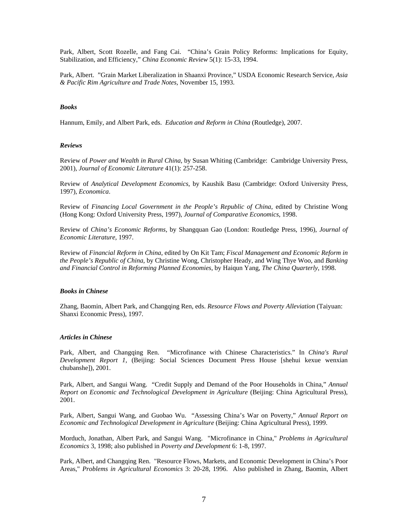Park, Albert, Scott Rozelle, and Fang Cai. "China's Grain Policy Reforms: Implications for Equity, Stabilization, and Efficiency," *China Economic Review* 5(1): 15-33, 1994.

Park, Albert. "Grain Market Liberalization in Shaanxi Province," USDA Economic Research Service, *Asia & Pacific Rim Agriculture and Trade Notes*, November 15, 1993.

#### *Books*

Hannum, Emily, and Albert Park, eds. *Education and Reform in China* (Routledge), 2007.

#### *Reviews*

Review of *Power and Wealth in Rural China*, by Susan Whiting (Cambridge: Cambridge University Press, 2001), *Journal of Economic Literature* 41(1): 257-258.

Review of *Analytical Development Economics*, by Kaushik Basu (Cambridge: Oxford University Press, 1997), *Economica*.

Review of *Financing Local Government in the People's Republic of China*, edited by Christine Wong (Hong Kong: Oxford University Press, 1997), *Journal of Comparative Economics*, 1998.

Review of *China's Economic Reforms*, by Shangquan Gao (London: Routledge Press, 1996), *Journal of Economic Literature*, 1997.

Review of *Financial Reform in China*, edited by On Kit Tam; *Fiscal Management and Economic Reform in the People's Republic of China*, by Christine Wong, Christopher Heady, and Wing Thye Woo, and *Banking and Financial Control in Reforming Planned Economies*, by Haiqun Yang, *The China Quarterly*, 1998.

#### *Books in Chinese*

Zhang, Baomin, Albert Park, and Changqing Ren, eds. *Resource Flows and Poverty Alleviation* (Taiyuan: Shanxi Economic Press), 1997.

## *Articles in Chinese*

Park, Albert, and Changqing Ren. "Microfinance with Chinese Characteristics." In *China's Rural Development Report 1*, (Beijing: Social Sciences Document Press House [shehui kexue wenxian chubanshe]), 2001.

Park, Albert, and Sangui Wang. "Credit Supply and Demand of the Poor Households in China," *Annual Report on Economic and Technological Development in Agriculture* (Beijing: China Agricultural Press), 2001.

Park, Albert, Sangui Wang, and Guobao Wu. "Assessing China's War on Poverty," *Annual Report on Economic and Technological Development in Agriculture* (Beijing: China Agricultural Press), 1999.

Morduch, Jonathan, Albert Park, and Sangui Wang. "Microfinance in China," *Problems in Agricultural Economics* 3, 1998; also published in *Poverty and Development* 6: 1-8, 1997.

Park, Albert, and Changqing Ren. "Resource Flows, Markets, and Economic Development in China's Poor Areas," *Problems in Agricultural Economics* 3: 20-28, 1996. Also published in Zhang, Baomin, Albert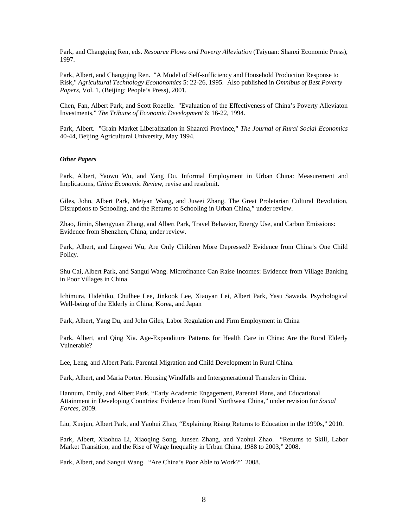Park, and Changqing Ren, eds. *Resource Flows and Poverty Alleviation* (Taiyuan: Shanxi Economic Press), 1997.

Park, Albert, and Changqing Ren. "A Model of Self-sufficiency and Household Production Response to Risk," *Agricultural Technology Econonomics* 5: 22-26, 1995. Also published in *Omnibus of Best Poverty Papers*, Vol. 1, (Beijing: People's Press), 2001*.* 

Chen, Fan, Albert Park, and Scott Rozelle. "Evaluation of the Effectiveness of China's Poverty Alleviaton Investments," *The Tribune of Economic Development* 6: 16-22, 1994.

Park, Albert. "Grain Market Liberalization in Shaanxi Province," *The Journal of Rural Social Economics* 40-44, Beijing Agricultural University, May 1994.

## *Other Papers*

Park, Albert, Yaowu Wu, and Yang Du. Informal Employment in Urban China: Measurement and Implications, *China Economic Review*, revise and resubmit.

Giles, John, Albert Park, Meiyan Wang, and Juwei Zhang. The Great Proletarian Cultural Revolution, Disruptions to Schooling, and the Returns to Schooling in Urban China," under review.

Zhao, Jimin, Shengyuan Zhang, and Albert Park, Travel Behavior, Energy Use, and Carbon Emissions: Evidence from Shenzhen, China, under review.

Park, Albert, and Lingwei Wu, Are Only Children More Depressed? Evidence from China's One Child Policy.

Shu Cai, Albert Park, and Sangui Wang. Microfinance Can Raise Incomes: Evidence from Village Banking in Poor Villages in China

Ichimura, Hidehiko, Chulhee Lee, Jinkook Lee, Xiaoyan Lei, Albert Park, Yasu Sawada. Psychological Well-being of the Elderly in China, Korea, and Japan

Park, Albert, Yang Du, and John Giles, Labor Regulation and Firm Employment in China

Park, Albert, and Qing Xia. Age-Expenditure Patterns for Health Care in China: Are the Rural Elderly Vulnerable?

Lee, Leng, and Albert Park. Parental Migration and Child Development in Rural China.

Park, Albert, and Maria Porter. Housing Windfalls and Intergenerational Transfers in China.

Hannum, Emily, and Albert Park. "Early Academic Engagement, Parental Plans, and Educational Attainment in Developing Countries: Evidence from Rural Northwest China," under revision for *Social Forces*, 2009.

Liu, Xuejun, Albert Park, and Yaohui Zhao, "Explaining Rising Returns to Education in the 1990s," 2010.

Park, Albert, Xiaohua Li, Xiaoqing Song, Junsen Zhang, and Yaohui Zhao. "Returns to Skill, Labor Market Transition, and the Rise of Wage Inequality in Urban China, 1988 to 2003," 2008.

Park, Albert, and Sangui Wang. "Are China's Poor Able to Work?" 2008.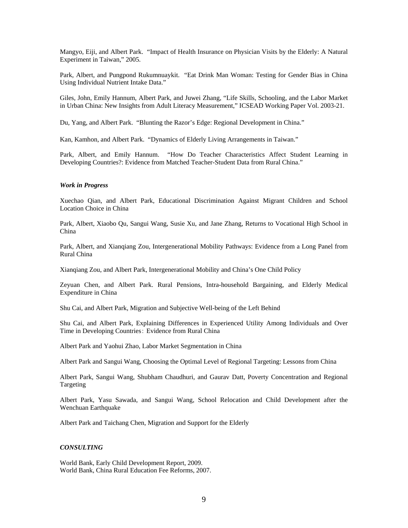Mangyo, Eiji, and Albert Park. "Impact of Health Insurance on Physician Visits by the Elderly: A Natural Experiment in Taiwan," 2005.

Park, Albert, and Pungpond Rukumnuaykit. "Eat Drink Man Woman: Testing for Gender Bias in China Using Individual Nutrient Intake Data."

Giles, John, Emily Hannum, Albert Park, and Juwei Zhang, "Life Skills, Schooling, and the Labor Market in Urban China: New Insights from Adult Literacy Measurement," ICSEAD Working Paper Vol. 2003-21.

Du, Yang, and Albert Park. "Blunting the Razor's Edge: Regional Development in China."

Kan, Kamhon, and Albert Park. "Dynamics of Elderly Living Arrangements in Taiwan."

Park, Albert, and Emily Hannum. "How Do Teacher Characteristics Affect Student Learning in Developing Countries?: Evidence from Matched Teacher-Student Data from Rural China."

#### *Work in Progress*

Xuechao Qian, and Albert Park, Educational Discrimination Against Migrant Children and School Location Choice in China

Park, Albert, Xiaobo Qu, Sangui Wang, Susie Xu, and Jane Zhang, Returns to Vocational High School in China

Park, Albert, and Xianqiang Zou, Intergenerational Mobility Pathways: Evidence from a Long Panel from Rural China

Xianqiang Zou, and Albert Park, Intergenerational Mobility and China's One Child Policy

Zeyuan Chen, and Albert Park. Rural Pensions, Intra-household Bargaining, and Elderly Medical Expenditure in China

Shu Cai, and Albert Park, Migration and Subjective Well-being of the Left Behind

Shu Cai, and Albert Park, Explaining Differences in Experienced Utility Among Individuals and Over Time in Developing Countries: Evidence from Rural China

Albert Park and Yaohui Zhao, Labor Market Segmentation in China

Albert Park and Sangui Wang, Choosing the Optimal Level of Regional Targeting: Lessons from China

Albert Park, Sangui Wang, Shubham Chaudhuri, and Gaurav Datt, Poverty Concentration and Regional Targeting

Albert Park, Yasu Sawada, and Sangui Wang, School Relocation and Child Development after the Wenchuan Earthquake

Albert Park and Taichang Chen, Migration and Support for the Elderly

## *CONSULTING*

World Bank, Early Child Development Report, 2009. World Bank, China Rural Education Fee Reforms, 2007.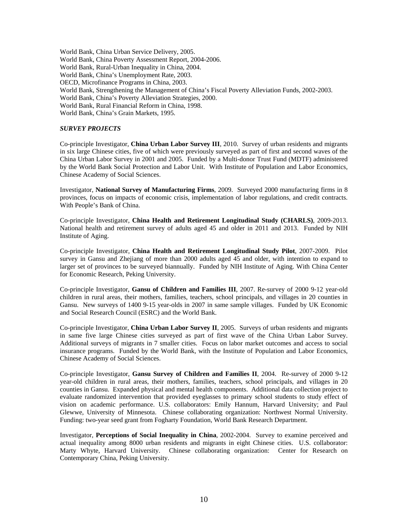World Bank, China Urban Service Delivery, 2005. World Bank, China Poverty Assessment Report, 2004-2006. World Bank, Rural-Urban Inequality in China, 2004. World Bank, China's Unemployment Rate, 2003. OECD, Microfinance Programs in China, 2003. World Bank, Strengthening the Management of China's Fiscal Poverty Alleviation Funds, 2002-2003. World Bank, China's Poverty Alleviation Strategies, 2000. World Bank, Rural Financial Reform in China, 1998. World Bank, China's Grain Markets, 1995.

## *SURVEY PROJECTS*

Co-principle Investigator, **China Urban Labor Survey III**, 2010. Survey of urban residents and migrants in six large Chinese cities, five of which were previously surveyed as part of first and second waves of the China Urban Labor Survey in 2001 and 2005. Funded by a Multi-donor Trust Fund (MDTF) administered by the World Bank Social Protection and Labor Unit. With Institute of Population and Labor Economics, Chinese Academy of Social Sciences.

Investigator, **National Survey of Manufacturing Firms**, 2009. Surveyed 2000 manufacturing firms in 8 provinces, focus on impacts of economic crisis, implementation of labor regulations, and credit contracts. With People's Bank of China.

Co-principle Investigator, **China Health and Retirement Longitudinal Study (CHARLS)**, 2009-2013. National health and retirement survey of adults aged 45 and older in 2011 and 2013. Funded by NIH Institute of Aging.

Co-principle Investigator, **China Health and Retirement Longitudinal Study Pilot**, 2007-2009. Pilot survey in Gansu and Zhejiang of more than 2000 adults aged 45 and older, with intention to expand to larger set of provinces to be surveyed biannually. Funded by NIH Institute of Aging. With China Center for Economic Research, Peking University.

Co-principle Investigator, **Gansu of Children and Families III**, 2007. Re-survey of 2000 9-12 year-old children in rural areas, their mothers, families, teachers, school principals, and villages in 20 counties in Gansu. New surveys of 1400 9-15 year-olds in 2007 in same sample villages. Funded by UK Economic and Social Research Council (ESRC) and the World Bank.

Co-principle Investigator, **China Urban Labor Survey II**, 2005. Surveys of urban residents and migrants in same five large Chinese cities surveyed as part of first wave of the China Urban Labor Survey. Additional surveys of migrants in 7 smaller cities. Focus on labor market outcomes and access to social insurance programs. Funded by the World Bank, with the Institute of Population and Labor Economics, Chinese Academy of Social Sciences.

Co-principle Investigator, **Gansu Survey of Children and Families II**, 2004. Re-survey of 2000 9-12 year-old children in rural areas, their mothers, families, teachers, school principals, and villages in 20 counties in Gansu. Expanded physical and mental health components. Additional data collection project to evaluate randomized intervention that provided eyeglasses to primary school students to study effect of vision on academic performance. U.S. collaborators: Emily Hannum, Harvard University; and Paul Glewwe, University of Minnesota. Chinese collaborating organization: Northwest Normal University. Funding: two-year seed grant from Fogharty Foundation, World Bank Research Department.

Investigator, **Perceptions of Social Inequality in China**, 2002-2004. Survey to examine perceived and actual inequality among 8000 urban residents and migrants in eight Chinese cities. U.S. collaborator: Marty Whyte, Harvard University. Chinese collaborating organization: Center for Research on Contemporary China, Peking University.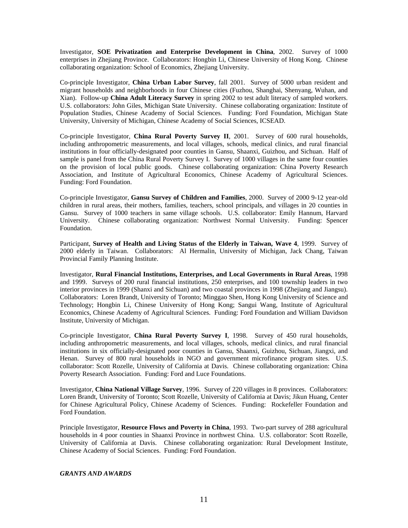Investigator, **SOE Privatization and Enterprise Development in China**, 2002. Survey of 1000 enterprises in Zhejiang Province. Collaborators: Hongbin Li, Chinese University of Hong Kong. Chinese collaborating organization: School of Economics, Zhejiang University.

Co-principle Investigator, **China Urban Labor Survey**, fall 2001. Survey of 5000 urban resident and migrant households and neighborhoods in four Chinese cities (Fuzhou, Shanghai, Shenyang, Wuhan, and Xian). Follow-up **China Adult Literacy Survey** in spring 2002 to test adult literacy of sampled workers. U.S. collaborators: John Giles, Michigan State University. Chinese collaborating organization: Institute of Population Studies, Chinese Academy of Social Sciences. Funding: Ford Foundation, Michigan State University, University of Michigan, Chinese Academy of Social Sciences, ICSEAD.

Co-principle Investigator, **China Rural Poverty Survey II**, 2001. Survey of 600 rural households, including anthropometric measurements, and local villages, schools, medical clinics, and rural financial institutions in four officially-designated poor counties in Gansu, Shaanxi, Guizhou, and Sichuan. Half of sample is panel from the China Rural Poverty Survey I. Survey of 1000 villages in the same four counties on the provision of local public goods. Chinese collaborating organization: China Poverty Research Association, and Institute of Agricultural Economics, Chinese Academy of Agricultural Sciences. Funding: Ford Foundation.

Co-principle Investigator, **Gansu Survey of Children and Families**, 2000. Survey of 2000 9-12 year-old children in rural areas, their mothers, families, teachers, school principals, and villages in 20 counties in Gansu. Survey of 1000 teachers in same village schools. U.S. collaborator: Emily Hannum, Harvard University. Chinese collaborating organization: Northwest Normal University. Funding: Spencer Foundation.

Participant, **Survey of Health and Living Status of the Elderly in Taiwan, Wave 4**, 1999. Survey of 2000 elderly in Taiwan. Collaborators: Al Hermalin, University of Michigan, Jack Chang, Taiwan Provincial Family Planning Institute.

Investigator, **Rural Financial Institutions, Enterprises, and Local Governments in Rural Areas**, 1998 and 1999. Surveys of 200 rural financial institutions, 250 enterprises, and 100 township leaders in two interior provinces in 1999 (Shanxi and Sichuan) and two coastal provinces in 1998 (Zhejiang and Jiangsu). Collaborators: Loren Brandt, University of Toronto; Minggao Shen, Hong Kong University of Science and Technology; Hongbin Li, Chinese University of Hong Kong; Sangui Wang, Institute of Agricultural Economics, Chinese Academy of Agricultural Sciences. Funding: Ford Foundation and William Davidson Institute, University of Michigan.

Co-principle Investigator, **China Rural Poverty Survey I**, 1998. Survey of 450 rural households, including anthropometric measurements, and local villages, schools, medical clinics, and rural financial institutions in six officially-designated poor counties in Gansu, Shaanxi, Guizhou, Sichuan, Jiangxi, and Henan. Survey of 800 rural households in NGO and government microfinance program sites. U.S. collaborator: Scott Rozelle, University of California at Davis. Chinese collaborating organization: China Poverty Research Association. Funding: Ford and Luce Foundations.

Investigator, **China National Village Survey**, 1996. Survey of 220 villages in 8 provinces. Collaborators: Loren Brandt, University of Toronto; Scott Rozelle, University of California at Davis; Jikun Huang, Center for Chinese Agricultural Policy, Chinese Academy of Sciences. Funding: Rockefeller Foundation and Ford Foundation.

Principle Investigator, **Resource Flows and Poverty in China**, 1993. Two-part survey of 288 agricultural households in 4 poor counties in Shaanxi Province in northwest China. U.S. collaborator: Scott Rozelle, University of California at Davis. Chinese collaborating organization: Rural Development Institute, Chinese Academy of Social Sciences. Funding: Ford Foundation.

## *GRANTS AND AWARDS*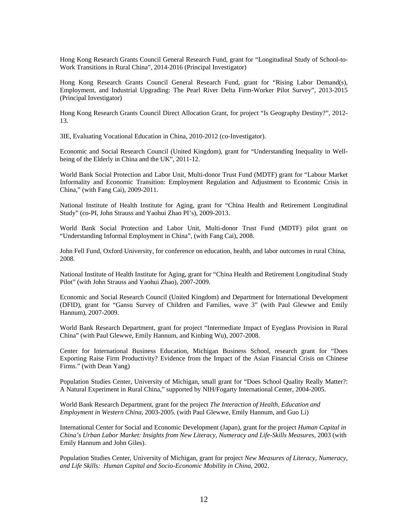Hong Kong Research Grants Council General Research Fund, grant for "Longitudinal Study of School-to-Work Transitions in Rural China", 2014-2016 (Principal Investigator)

Hong Kong Research Grants Council General Research Fund, grant for "Rising Labor Demand(s), Employment, and Industrial Upgrading: The Pearl River Delta Firm-Worker Pilot Survey", 2013-2015 (Principal Investigator)

Hong Kong Research Grants Council Direct Allocation Grant, for project "Is Geography Destiny?", 2012- 13.

3IE, Evaluating Vocational Education in China, 2010-2012 (co-Investigator).

Economic and Social Research Council (United Kingdom), grant for "Understanding Inequality in Wellbeing of the Elderly in China and the UK", 2011-12.

World Bank Social Protection and Labor Unit, Multi-donor Trust Fund (MDTF) grant for "Labour Market Informality and Economic Transition: Employment Regulation and Adjustment to Economic Crisis in China," (with Fang Cai), 2009-2011.

National Institute of Health Institute for Aging, grant for "China Health and Retirement Longitudinal Study" (co-PI, John Strauss and Yaohui Zhao PI's), 2009-2013.

World Bank Social Protection and Labor Unit, Multi-donor Trust Fund (MDTF) pilot grant on "Understanding Informal Employment in China", (with Fang Cai), 2008.

John Fell Fund, Oxford University, for conference on education, health, and labor outcomes in rural China, 2008.

National Institute of Health Institute for Aging, grant for "China Health and Retirement Longitudinal Study Pilot" (with John Strauss and Yaohui Zhao), 2007-2009.

Economic and Social Research Council (United Kingdom) and Department for International Development (DFID), grant for "Gansu Survey of Children and Families, wave 3" (with Paul Glewwe and Emily Hannum), 2007-2009.

World Bank Research Department, grant for project "Intermediate Impact of Eyeglass Provision in Rural China" (with Paul Glewwe, Emily Hannum, and Kinbing Wu), 2007-2008.

Center for International Business Education, Michigan Business School, research grant for "Does Exporting Raise Firm Productivity? Evidence from the Impact of the Asian Financial Crisis on Chinese Firms." (with Dean Yang)

Population Studies Center, University of Michigan, small grant for "Does School Quality Really Matter?: A Natural Experiment in Rural China," supported by NIH/Fogarty International Center, 2004-2005.

World Bank Research Department, grant for the project *The Interaction of Health, Education and Employment in Western China*, 2003-2005. (with Paul Glewwe, Emily Hannum, and Guo Li)

International Center for Social and Economic Development (Japan), grant for the project *Human Capital in China's Urban Labor Market: Insights from New Literacy, Numeracy and Life-Skills Measures*, 2003 (with Emily Hannum and John Giles).

Population Studies Center, University of Michigan, grant for project *New Measures of Literacy, Numeracy, and Life Skills: Human Capital and Socio-Economic Mobility in China*, 2002.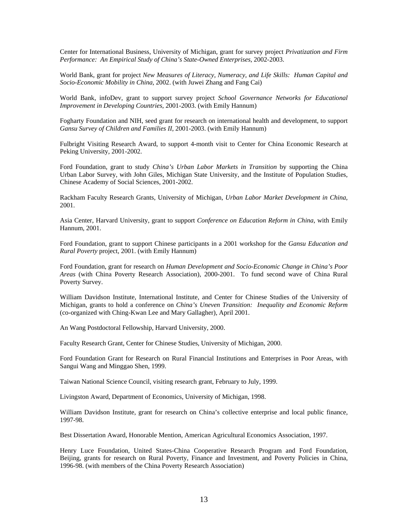Center for International Business, University of Michigan, grant for survey project *Privatization and Firm Performance: An Empirical Study of China's State-Owned Enterprises*, 2002-2003.

World Bank, grant for project *New Measures of Literacy, Numeracy, and Life Skills: Human Capital and Socio-Economic Mobility in China*, 2002. (with Juwei Zhang and Fang Cai)

World Bank, infoDev, grant to support survey project *School Governance Networks for Educational Improvement in Developing Countries*, 2001-2003. (with Emily Hannum)

Fogharty Foundation and NIH, seed grant for research on international health and development, to support *Gansu Survey of Children and Families II*, 2001-2003. (with Emily Hannum)

Fulbright Visiting Research Award, to support 4-month visit to Center for China Economic Research at Peking University, 2001-2002.

Ford Foundation, grant to study *China's Urban Labor Markets in Transition* by supporting the China Urban Labor Survey, with John Giles, Michigan State University, and the Institute of Population Studies, Chinese Academy of Social Sciences, 2001-2002.

Rackham Faculty Research Grants, University of Michigan, *Urban Labor Market Development in China*, 2001.

Asia Center, Harvard University, grant to support *Conference on Education Reform in China*, with Emily Hannum, 2001.

Ford Foundation, grant to support Chinese participants in a 2001 workshop for the *Gansu Education and Rural Poverty* project, 2001. (with Emily Hannum)

Ford Foundation, grant for research on *Human Development and Socio-Economic Change in China's Poor Areas* (with China Poverty Research Association), 2000-2001. To fund second wave of China Rural Poverty Survey.

William Davidson Institute, International Institute, and Center for Chinese Studies of the University of Michigan, grants to hold a conference on *China's Uneven Transition: Inequality and Economic Reform* (co-organized with Ching-Kwan Lee and Mary Gallagher), April 2001.

An Wang Postdoctoral Fellowship, Harvard University, 2000.

Faculty Research Grant, Center for Chinese Studies, University of Michigan, 2000.

Ford Foundation Grant for Research on Rural Financial Institutions and Enterprises in Poor Areas, with Sangui Wang and Minggao Shen, 1999.

Taiwan National Science Council, visiting research grant, February to July, 1999.

Livingston Award, Department of Economics, University of Michigan, 1998.

William Davidson Institute, grant for research on China's collective enterprise and local public finance, 1997-98.

Best Dissertation Award, Honorable Mention, American Agricultural Economics Association, 1997.

Henry Luce Foundation, United States-China Cooperative Research Program and Ford Foundation, Beijing, grants for research on Rural Poverty, Finance and Investment, and Poverty Policies in China, 1996-98. (with members of the China Poverty Research Association)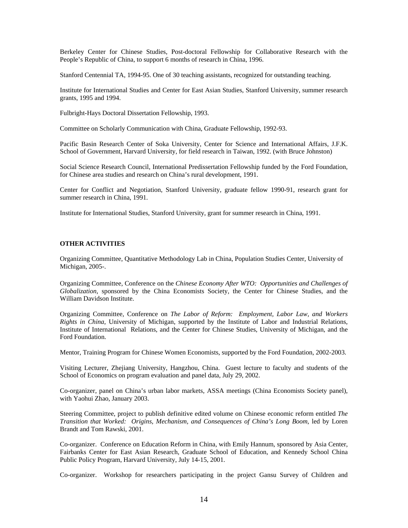Berkeley Center for Chinese Studies, Post-doctoral Fellowship for Collaborative Research with the People's Republic of China, to support 6 months of research in China, 1996.

Stanford Centennial TA, 1994-95. One of 30 teaching assistants, recognized for outstanding teaching.

Institute for International Studies and Center for East Asian Studies, Stanford University, summer research grants, 1995 and 1994.

Fulbright-Hays Doctoral Dissertation Fellowship, 1993.

Committee on Scholarly Communication with China, Graduate Fellowship, 1992-93.

Pacific Basin Research Center of Soka University, Center for Science and International Affairs, J.F.K. School of Government, Harvard University, for field research in Taiwan, 1992. (with Bruce Johnston)

Social Science Research Council, International Predissertation Fellowship funded by the Ford Foundation, for Chinese area studies and research on China's rural development, 1991.

Center for Conflict and Negotiation, Stanford University, graduate fellow 1990-91, research grant for summer research in China, 1991.

Institute for International Studies, Stanford University, grant for summer research in China, 1991.

## **OTHER ACTIVITIES**

Organizing Committee, Quantitative Methodology Lab in China, Population Studies Center, University of Michigan, 2005-.

Organizing Committee, Conference on the *Chinese Economy After WTO: Opportunities and Challenges of Globalization*, sponsored by the China Economists Society, the Center for Chinese Studies, and the William Davidson Institute.

Organizing Committee, Conference on *The Labor of Reform: Employment, Labor Law, and Workers Rights in China*, University of Michigan, supported by the Institute of Labor and Industrial Relations, Institute of International Relations, and the Center for Chinese Studies, University of Michigan, and the Ford Foundation.

Mentor, Training Program for Chinese Women Economists, supported by the Ford Foundation, 2002-2003.

Visiting Lecturer, Zhejiang University, Hangzhou, China. Guest lecture to faculty and students of the School of Economics on program evaluation and panel data, July 29, 2002.

Co-organizer, panel on China's urban labor markets, ASSA meetings (China Economists Society panel), with Yaohui Zhao, January 2003.

Steering Committee, project to publish definitive edited volume on Chinese economic reform entitled *The Transition that Worked: Origins, Mechanism, and Consequences of China's Long Boom*, led by Loren Brandt and Tom Rawski, 2001.

Co-organizer. Conference on Education Reform in China, with Emily Hannum, sponsored by Asia Center, Fairbanks Center for East Asian Research, Graduate School of Education, and Kennedy School China Public Policy Program, Harvard University, July 14-15, 2001.

Co-organizer. Workshop for researchers participating in the project Gansu Survey of Children and